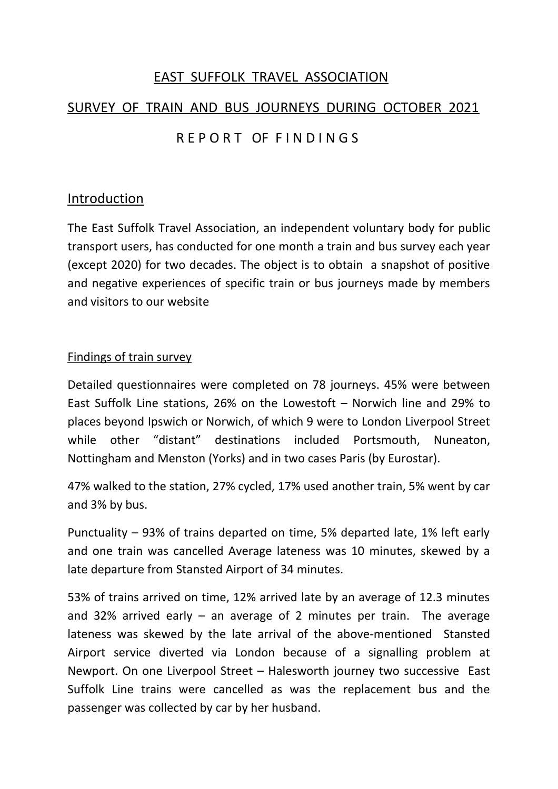### EAST SUFFOLK TRAVEL ASSOCIATION

# SURVEY OF TRAIN AND BUS JOURNEYS DURING OCTOBER 2021

# R F P O R T OF F IN D I N G S

#### Introduction

The East Suffolk Travel Association, an independent voluntary body for public transport users, has conducted for one month a train and bus survey each year (except 2020) for two decades. The object is to obtain a snapshot of positive and negative experiences of specific train or bus journeys made by members and visitors to our website

#### Findings of train survey

Detailed questionnaires were completed on 78 journeys. 45% were between East Suffolk Line stations, 26% on the Lowestoft – Norwich line and 29% to places beyond Ipswich or Norwich, of which 9 were to London Liverpool Street while other "distant" destinations included Portsmouth, Nuneaton, Nottingham and Menston (Yorks) and in two cases Paris (by Eurostar).

47% walked to the station, 27% cycled, 17% used another train, 5% went by car and 3% by bus.

Punctuality – 93% of trains departed on time, 5% departed late, 1% left early and one train was cancelled Average lateness was 10 minutes, skewed by a late departure from Stansted Airport of 34 minutes.

53% of trains arrived on time, 12% arrived late by an average of 12.3 minutes and 32% arrived early  $-$  an average of 2 minutes per train. The average lateness was skewed by the late arrival of the above-mentioned Stansted Airport service diverted via London because of a signalling problem at Newport. On one Liverpool Street – Halesworth journey two successive East Suffolk Line trains were cancelled as was the replacement bus and the passenger was collected by car by her husband.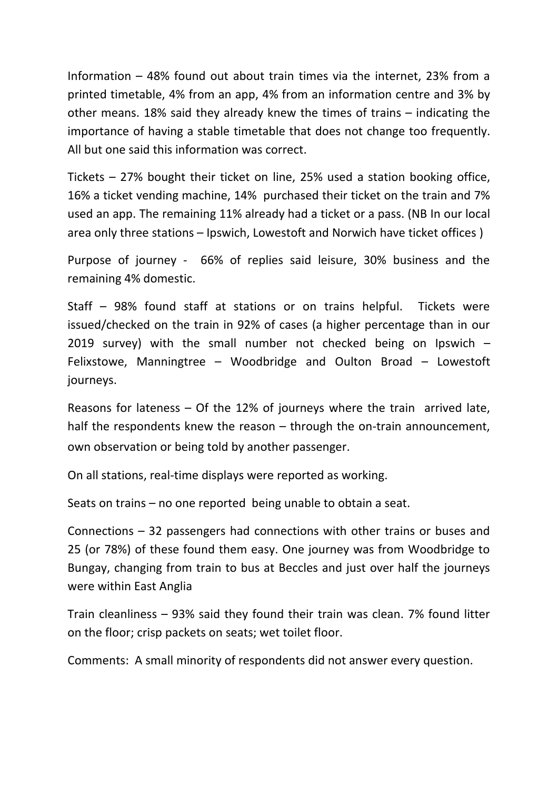Information – 48% found out about train times via the internet, 23% from a printed timetable, 4% from an app, 4% from an information centre and 3% by other means. 18% said they already knew the times of trains – indicating the importance of having a stable timetable that does not change too frequently. All but one said this information was correct.

Tickets – 27% bought their ticket on line, 25% used a station booking office, 16% a ticket vending machine, 14% purchased their ticket on the train and 7% used an app. The remaining 11% already had a ticket or a pass. (NB In our local area only three stations – Ipswich, Lowestoft and Norwich have ticket offices )

Purpose of journey - 66% of replies said leisure, 30% business and the remaining 4% domestic.

Staff – 98% found staff at stations or on trains helpful. Tickets were issued/checked on the train in 92% of cases (a higher percentage than in our 2019 survey) with the small number not checked being on Ipswich  $-$ Felixstowe, Manningtree – Woodbridge and Oulton Broad – Lowestoft journeys.

Reasons for lateness – Of the 12% of journeys where the train arrived late, half the respondents knew the reason – through the on-train announcement, own observation or being told by another passenger.

On all stations, real-time displays were reported as working.

Seats on trains – no one reported being unable to obtain a seat.

Connections – 32 passengers had connections with other trains or buses and 25 (or 78%) of these found them easy. One journey was from Woodbridge to Bungay, changing from train to bus at Beccles and just over half the journeys were within East Anglia

Train cleanliness – 93% said they found their train was clean. 7% found litter on the floor; crisp packets on seats; wet toilet floor.

Comments: A small minority of respondents did not answer every question.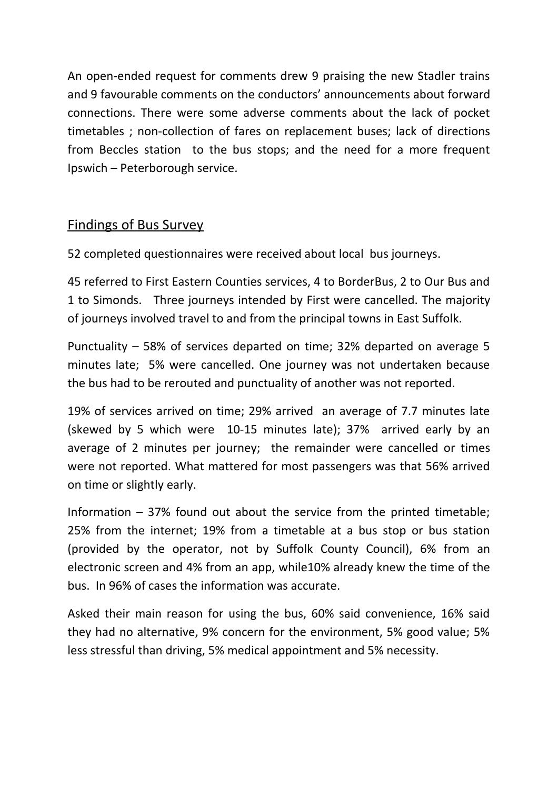An open-ended request for comments drew 9 praising the new Stadler trains and 9 favourable comments on the conductors' announcements about forward connections. There were some adverse comments about the lack of pocket timetables ; non-collection of fares on replacement buses; lack of directions from Beccles station to the bus stops; and the need for a more frequent Ipswich – Peterborough service.

## Findings of Bus Survey

52 completed questionnaires were received about local bus journeys.

45 referred to First Eastern Counties services, 4 to BorderBus, 2 to Our Bus and 1 to Simonds. Three journeys intended by First were cancelled. The majority of journeys involved travel to and from the principal towns in East Suffolk.

Punctuality – 58% of services departed on time; 32% departed on average 5 minutes late; 5% were cancelled. One journey was not undertaken because the bus had to be rerouted and punctuality of another was not reported.

19% of services arrived on time; 29% arrived an average of 7.7 minutes late (skewed by 5 which were 10-15 minutes late); 37% arrived early by an average of 2 minutes per journey; the remainder were cancelled or times were not reported. What mattered for most passengers was that 56% arrived on time or slightly early.

Information  $-37%$  found out about the service from the printed timetable; 25% from the internet; 19% from a timetable at a bus stop or bus station (provided by the operator, not by Suffolk County Council), 6% from an electronic screen and 4% from an app, while10% already knew the time of the bus. In 96% of cases the information was accurate.

Asked their main reason for using the bus, 60% said convenience, 16% said they had no alternative, 9% concern for the environment, 5% good value; 5% less stressful than driving, 5% medical appointment and 5% necessity.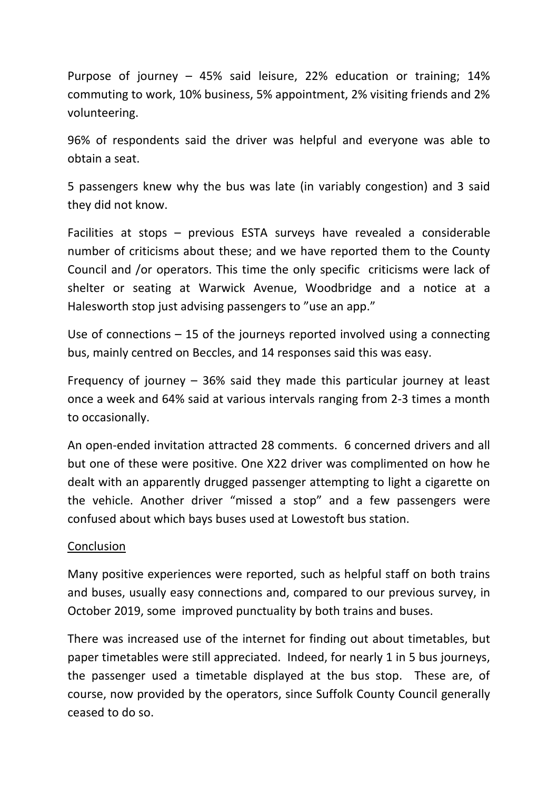Purpose of journey – 45% said leisure, 22% education or training; 14% commuting to work, 10% business, 5% appointment, 2% visiting friends and 2% volunteering.

96% of respondents said the driver was helpful and everyone was able to obtain a seat.

5 passengers knew why the bus was late (in variably congestion) and 3 said they did not know.

Facilities at stops – previous ESTA surveys have revealed a considerable number of criticisms about these; and we have reported them to the County Council and /or operators. This time the only specific criticisms were lack of shelter or seating at Warwick Avenue, Woodbridge and a notice at a Halesworth stop just advising passengers to "use an app."

Use of connections – 15 of the journeys reported involved using a connecting bus, mainly centred on Beccles, and 14 responses said this was easy.

Frequency of journey – 36% said they made this particular journey at least once a week and 64% said at various intervals ranging from 2-3 times a month to occasionally.

An open-ended invitation attracted 28 comments. 6 concerned drivers and all but one of these were positive. One X22 driver was complimented on how he dealt with an apparently drugged passenger attempting to light a cigarette on the vehicle. Another driver "missed a stop" and a few passengers were confused about which bays buses used at Lowestoft bus station.

#### **Conclusion**

Many positive experiences were reported, such as helpful staff on both trains and buses, usually easy connections and, compared to our previous survey, in October 2019, some improved punctuality by both trains and buses.

There was increased use of the internet for finding out about timetables, but paper timetables were still appreciated. Indeed, for nearly 1 in 5 bus journeys, the passenger used a timetable displayed at the bus stop. These are, of course, now provided by the operators, since Suffolk County Council generally ceased to do so.